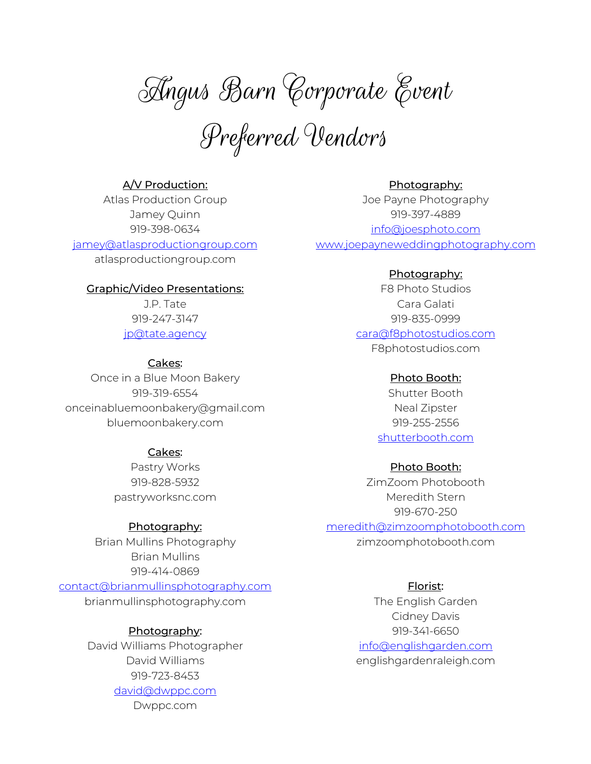Angus Barn Corporate Event

Preferred Vendors

# A/V Production:

Atlas Production Group Jamey Quinn 919-398-0634

# jamey@atlasproductiongroup.com

atlasproductiongroup.com

## Graphic/Video Presentations:

J.P. Tate 919-247-3147 jp@tate.agency

#### Cakes:

Once in a Blue Moon Bakery 919-319-6554 onceinabluemoonbakery@gmail.com bluemoonbakery.com

## Cakes:

Pastry Works 919-828-5932 pastryworksnc.com

#### Photography:

Brian Mullins Photography Brian Mullins 919-414-0869 contact@brianmullinsphotography.com brianmullinsphotography.com

# Photography:

David Williams Photographer David Williams 919-723-8453 david@dwppc.com

Dwppc.com

Photography: Joe Payne Photography 919-397-4889 info@joesphoto.com www.joepayneweddingphotography.com

#### Photography:

F8 Photo Studios Cara Galati 919-835-0999 cara@f8photostudios.com F8photostudios.com

#### Photo Booth:

Shutter Booth Neal Zipster 919-255-2556 shutterbooth.com

#### Photo Booth:

ZimZoom Photobooth Meredith Stern 919-670-250 meredith@zimzoomphotobooth.com zimzoomphotobooth.com

## Florist:

The English Garden Cidney Davis 919-341-6650 info@englishgarden.com englishgardenraleigh.com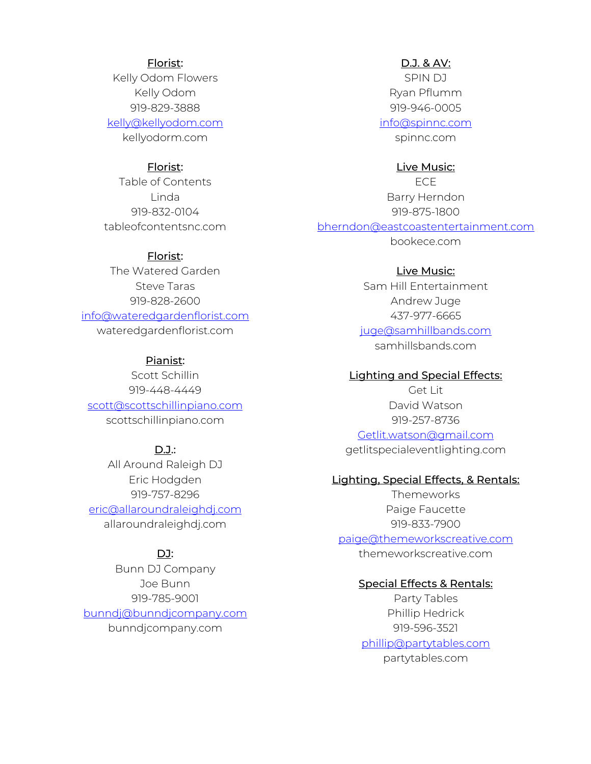#### Florist:

Kelly Odom Flowers Kelly Odom 919-829-3888

kelly@kellyodom.com

kellyodorm.com

## Florist:

Table of Contents Linda 919-832-0104 tableofcontentsnc.com

#### Florist:

The Watered Garden Steve Taras 919-828-2600 info@wateredgardenflorist.com wateredgardenflorist.com

# Pianist:

Scott Schillin 919-448-4449 scott@scottschillinpiano.com scottschillinpiano.com

#### $D.J.:$

All Around Raleigh DJ Eric Hodgden 919-757-8296 eric@allaroundraleighdj.com allaroundraleighdj.com

## DJ:

Bunn DJ Company Joe Bunn 919-785-9001 bunndj@bunndjcompany.com bunndjcompany.com

# D.J. & AV:

SPIN DJ Ryan Pflumm 919-946-0005

info@spinnc.com

spinnc.com

## Live Music:

ECE Barry Herndon 919-875-1800 bherndon@eastcoastentertainment.com bookece.com

#### Live Music:

Sam Hill Entertainment Andrew Juge 437-977-6665 juge@samhillbands.com samhillsbands.com

#### Lighting and Special Effects:

Get Lit David Watson 919-257-8736 Getlit.watson@gmail.com getlitspecialeventlighting.com

#### Lighting, Special Effects, & Rentals:

**Themeworks** Paige Faucette 919-833-7900 paige@themeworkscreative.com themeworkscreative.com

## Special Effects & Rentals:

Party Tables Phillip Hedrick 919-596-3521 phillip@partytables.com partytables.com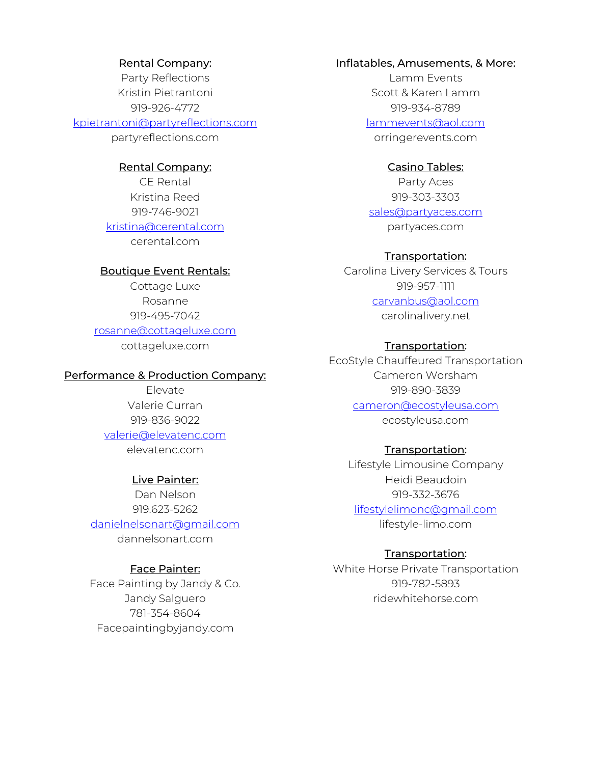#### Rental Company:

Party Reflections Kristin Pietrantoni 919-926-4772

## kpietrantoni@partyreflections.com

partyreflections.com

#### Rental Company:

CE Rental Kristina Reed 919-746-9021 kristina@cerental.com cerental.com

## Boutique Event Rentals:

Cottage Luxe Rosanne 919-495-7042 rosanne@cottageluxe.com cottageluxe.com

#### Performance & Production Company:

Elevate Valerie Curran 919-836-9022 valerie@elevatenc.com elevatenc.com

#### Live Painter:

Dan Nelson 919.623-5262 danielnelsonart@gmail.com dannelsonart.com

## Face Painter:

Face Painting by Jandy & Co. Jandy Salguero 781-354-8604 Facepaintingbyjandy.com

## Inflatables, Amusements, & More:

Lamm Events Scott & Karen Lamm 919-934-8789

lammevents@aol.com orringerevents.com

#### Casino Tables:

Party Aces 919-303-3303 sales@partyaces.com partyaces.com

#### Transportation:

Carolina Livery Services & Tours 919-957-1111 carvanbus@aol.com carolinalivery.net

#### Transportation:

EcoStyle Chauffeured Transportation Cameron Worsham 919-890-3839 cameron@ecostyleusa.com ecostyleusa.com

#### Transportation:

Lifestyle Limousine Company Heidi Beaudoin 919-332-3676 lifestylelimonc@gmail.com lifestyle-limo.com

# Transportation:

White Horse Private Transportation 919-782-5893 ridewhitehorse.com